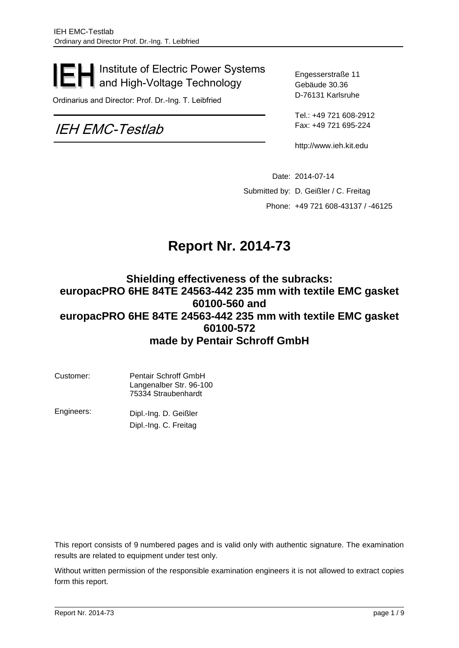## Institute of Electric Power Systems and High-Voltage Technology

Ordinarius and Director: Prof. Dr.-Ing. T. Leibfried

# IEH EMC-Testlab

Engesserstraße 11 Gebäude 30.36 D-76131 Karlsruhe

Tel.: +49 721 608-2912 Fax: +49 721 695-224

http://www.ieh.kit.edu

<span id="page-0-0"></span>Date: 2014-07-14 Submitted by: D. Geißler / C. Freitag Phone: +49 721 608-43137 / -46125

# **Report Nr. 2014-73**

### **Shielding effectiveness of the subracks: europacPRO 6HE 84TE 24563-442 235 mm with textile EMC gasket 60100-560 and europacPRO 6HE 84TE 24563-442 235 mm with textile EMC gasket 60100-572 made by Pentair Schroff GmbH**

| Customer: | <b>Pentair Schroff GmbH</b><br>Langenalber Str. 96-100<br>75334 Straubenhardt |
|-----------|-------------------------------------------------------------------------------|
|           |                                                                               |

Engineers: Dipl.-Ing. D. Geißler Dipl.-Ing. C. Freitag

This report consists of 9 numbered pages and is valid only with authentic signature. The examination results are related to equipment under test only.

Without written permission of the responsible examination engineers it is not allowed to extract copies form this report.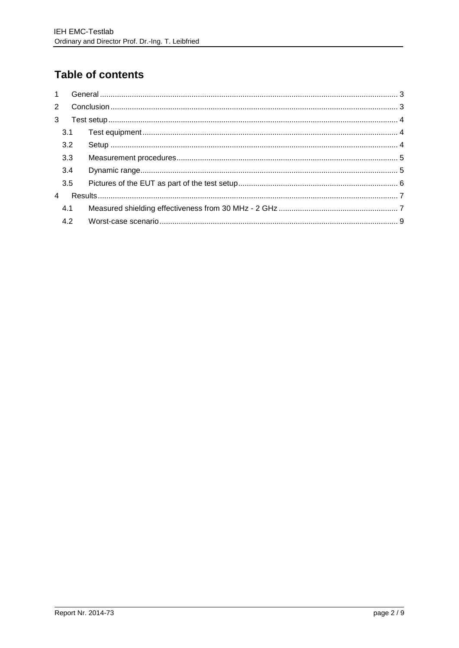# Table of contents

| $\overline{2}$ |     |  |
|----------------|-----|--|
| 3              |     |  |
|                | 3.1 |  |
|                | 3.2 |  |
|                | 3.3 |  |
|                | 3.4 |  |
|                | 3.5 |  |
| $\overline{4}$ |     |  |
|                | 4.1 |  |
|                | 4.2 |  |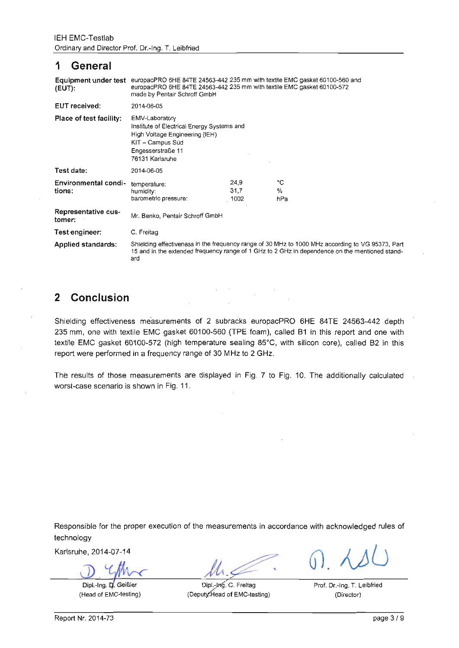#### 1 **General**

| $(EUT)$ :                      | Equipment under test europacPRO 6HE 84TE 24563-442 235 mm with textile EMC gasket 60100-560 and<br>europacPRO 6HE 84TE 24563-442 235 mm with textile EMC gasket 60100-572<br>made by Pentair Schroff GmbH |                      |                |  |  |
|--------------------------------|-----------------------------------------------------------------------------------------------------------------------------------------------------------------------------------------------------------|----------------------|----------------|--|--|
| <b>EUT</b> received:           | 2014-06-05                                                                                                                                                                                                |                      |                |  |  |
| Place of test facility:        | EMV-Laboratory<br>Institute of Electrical Energy Systems and<br>High Voltage Engineering (IEH)<br>KIT – Campus Süd<br>Engesserstraße 11<br>76131 Karlsruhe                                                |                      |                |  |  |
| Test date:                     | 2014-06-05                                                                                                                                                                                                |                      |                |  |  |
| Environmental condi-<br>tions: | temperature:<br>humidity:<br>barometric pressure:                                                                                                                                                         | 24,9<br>31.7<br>1002 | °C<br>%<br>hPa |  |  |
| Representative cus-<br>tomer:  | Mr. Benko, Pentair Schroff GmbH                                                                                                                                                                           |                      |                |  |  |
| Test engineer:                 | C. Freitag                                                                                                                                                                                                |                      |                |  |  |
| Applied standards:             | Shielding effectiveness in the frequency range of 30 MHz to 1000 MHz according to VG 95373, Part<br>15 and in the extended frequency range of 1 GHz to 2 GHz in dependence on the mentioned stand-<br>ard |                      |                |  |  |

#### $\overline{2}$ Conclusion

Shielding effectiveness measurements of 2 subracks europacPRO 6HE 84TE 24563-442 depth 235 mm, one with textile EMC gasket 60100-560 (TPE foam), called B1 in this report and one with textile EMC gasket 60100-572 (high temperature sealing 85°C, with silicon core), called B2 in this report were performed in a frequency range of 30 MHz to 2 GHz.

The results of those measurements are displayed in Fig. 7 to Fig. 10. The additionally calculated worst-case scenario is shown in Fig. 11.

Responsible for the proper execution of the measurements in accordance with acknowledged rules of technology

Karlsruhe, 2014-07-14

Dipl.-Ing. D. Geißlen (Head of EMC-testing)

Prof. Dr.-Ing. T. Leibfried

Dipl.-Jng. C. Freitag (Deputy:Head of EMC-testing)

(Director)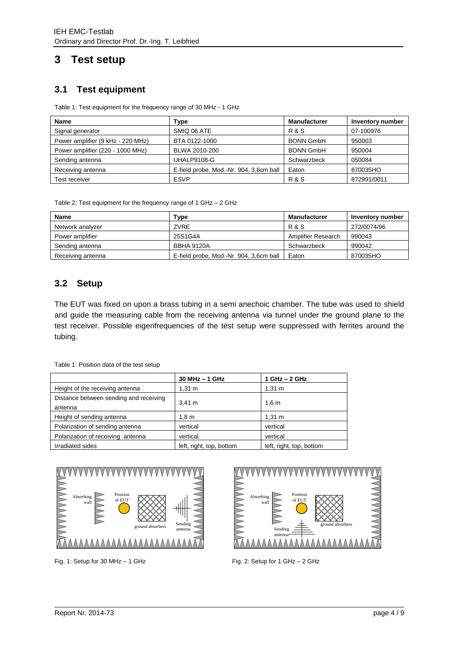## <span id="page-3-1"></span><span id="page-3-0"></span>**3 Test setup**

#### **3.1 Test equipment**

Table 1: Test equipment for the frequency range of 30 MHz - 1 GHz

| <b>Name</b>                       | Type                                    | <b>Manufacturer</b> | <b>Inventory number</b> |
|-----------------------------------|-----------------------------------------|---------------------|-------------------------|
| Signal generator                  | SMIQ 06 ATE                             | <b>R&amp;S</b>      | 07-100976               |
| Power amplifier (9 kHz - 220 MHz) | BTA 0122-1000                           | <b>BONN GmbH</b>    | 950003                  |
| Power amplifier (220 - 1000 MHz)  | BLWA 2010-200                           | <b>BONN GmbH</b>    | 950004                  |
| Sending antenna                   | UHALP9108-G                             | Schwarzbeck         | 050084                  |
| Receiving antenna                 | E-field probe, Mod.-Nr. 904, 3,6cm ball | Eaton               | 870035HO                |
| Test receiver                     | <b>ESVP</b>                             | <b>R&amp;S</b>      | 872991/0011             |

Table 2: Test equipment for the frequency range of 1 GHz – 2 GHz

| Name              | <b>Type</b>                             | <b>Manufacturer</b> | Inventory number |
|-------------------|-----------------------------------------|---------------------|------------------|
| Network analyzer  | ZVRE                                    | R & S               | 272/0074/96      |
| Power amplifier   | 25S1G4A                                 | Amplifier Research  | 990043           |
| Sending antenna   | <b>BBHA 9120A</b>                       | Schwarzbeck         | 990042           |
| Receiving antenna | E-field probe, Mod.-Nr. 904, 3,6cm ball | Eaton               | 870035HO         |

#### <span id="page-3-2"></span>**3.2 Setup**

The EUT was fixed on upon a brass tubing in a semi anechoic chamber. The tube was used to shield and guide the measuring cable from the receiving antenna via tunnel under the ground plane to the test receiver. Possible eigenfrequencies of the test setup were suppressed with ferrites around the tubing.

Table 1: Position data of the test setup

|                                        | $30$ MHz $-$ 1 GHz       | 1 GHz - 2 GHz            |  |
|----------------------------------------|--------------------------|--------------------------|--|
| Height of the receiving antenna        | $1.31 \text{ m}$         | $1,31 \; m$              |  |
| Distance between sending and receiving | 3.41 m                   | 1,6m                     |  |
| antenna                                |                          |                          |  |
| Height of sending antenna              | 1,8 m                    | $1,31 \; m$              |  |
| Polarization of sending antenna        | vertical                 | vertical                 |  |
| Polarization of receiving antenna      | vertical                 | vertical                 |  |
| Irradiated sides                       | left, right, top, bottom | left, right, top, bottom |  |



Fig. 1: Setup for 30 MHz – 1 GHz Fig. 2: Setup for 1 GHz – 2 GHz

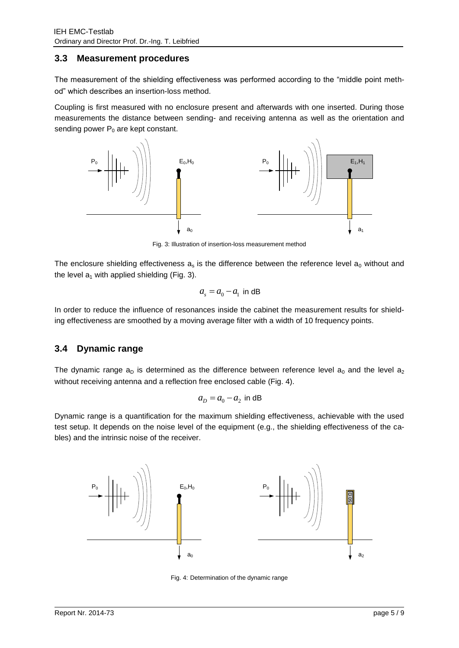#### <span id="page-4-0"></span>**3.3 Measurement procedures**

The measurement of the shielding effectiveness was performed according to the "middle point method" which describes an insertion-loss method.

Coupling is first measured with no enclosure present and afterwards with one inserted. During those measurements the distance between sending- and receiving antenna as well as the orientation and sending power  $P_0$  are kept constant.



Fig. 3: Illustration of insertion-loss measurement method

The enclosure shielding effectiveness  $a_s$  is the difference between the reference level  $a_0$  without and the level  $a_1$  with applied shielding (Fig. 3).

$$
a_s = a_0 - a_1
$$
 in dB

In order to reduce the influence of resonances inside the cabinet the measurement results for shielding effectiveness are smoothed by a moving average filter with a width of 10 frequency points.

#### <span id="page-4-1"></span>**3.4 Dynamic range**

The dynamic range  $a_D$  is determined as the difference between reference level  $a_0$  and the level  $a_2$ without receiving antenna and a reflection free enclosed cable [\(Fig. 4\)](#page-4-2).

$$
a_D = a_0 - a_2
$$
 in dB

Dynamic range is a quantification for the maximum shielding effectiveness, achievable with the used test setup. It depends on the noise level of the equipment (e.g., the shielding effectiveness of the cables) and the intrinsic noise of the receiver.

<span id="page-4-2"></span>

Fig. 4: Determination of the dynamic range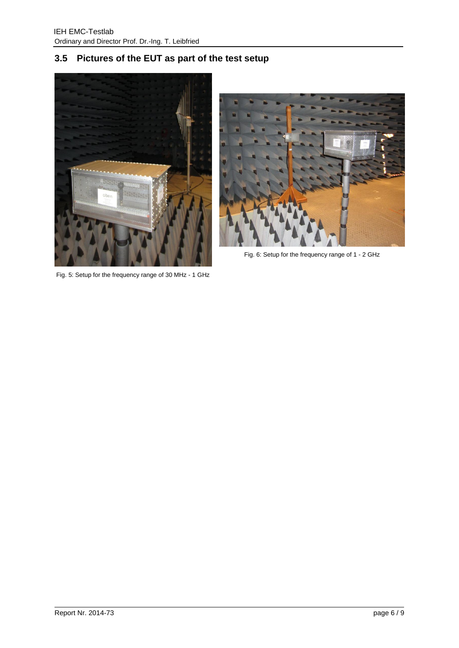## <span id="page-5-0"></span>**3.5 Pictures of the EUT as part of the test setup**



Fig. 5: Setup for the frequency range of 30 MHz - 1 GHz



Fig. 6: Setup for the frequency range of 1 - 2 GHz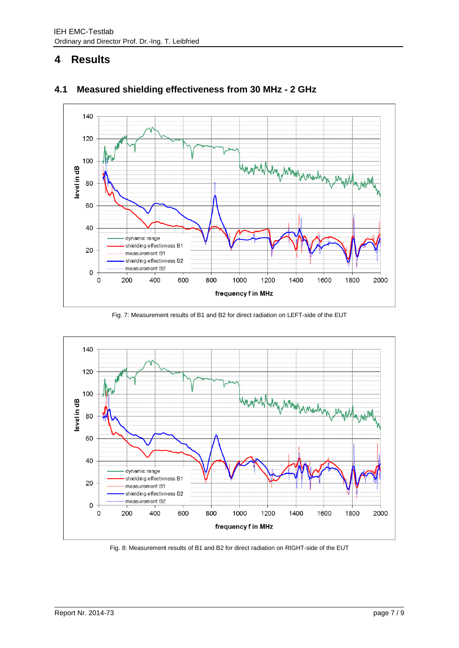## <span id="page-6-0"></span>**4 Results**



### <span id="page-6-1"></span>**4.1 Measured shielding effectiveness from 30 MHz - 2 GHz**

Fig. 7: Measurement results of B1 and B2 for direct radiation on LEFT-side of the EUT



Fig. 8: Measurement results of B1 and B2 for direct radiation on RIGHT-side of the EUT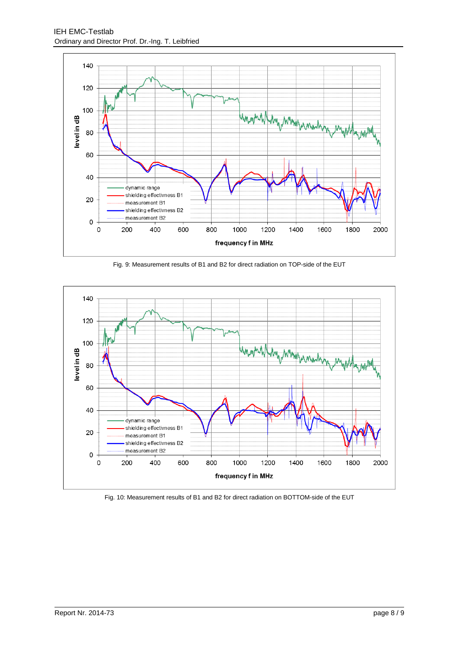

Fig. 9: Measurement results of B1 and B2 for direct radiation on TOP-side of the EUT



Fig. 10: Measurement results of B1 and B2 for direct radiation on BOTTOM-side of the EUT